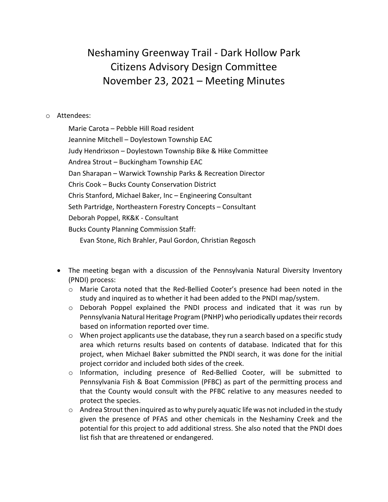## Neshaminy Greenway Trail - Dark Hollow Park Citizens Advisory Design Committee November 23, 2021 – Meeting Minutes

## o Attendees:

Marie Carota – Pebble Hill Road resident Jeannine Mitchell – Doylestown Township EAC Judy Hendrixson – Doylestown Township Bike & Hike Committee Andrea Strout – Buckingham Township EAC Dan Sharapan – Warwick Township Parks & Recreation Director Chris Cook – Bucks County Conservation District Chris Stanford, Michael Baker, Inc – Engineering Consultant Seth Partridge, Northeastern Forestry Concepts – Consultant Deborah Poppel, RK&K - Consultant Bucks County Planning Commission Staff: Evan Stone, Rich Brahler, Paul Gordon, Christian Regosch

- The meeting began with a discussion of the Pennsylvania Natural Diversity Inventory (PNDI) process:
	- o Marie Carota noted that the Red-Bellied Cooter's presence had been noted in the study and inquired as to whether it had been added to the PNDI map/system.
	- $\circ$  Deborah Poppel explained the PNDI process and indicated that it was run by Pennsylvania Natural Heritage Program (PNHP) who periodically updates their records based on information reported over time.
	- $\circ$  When project applicants use the database, they run a search based on a specific study area which returns results based on contents of database. Indicated that for this project, when Michael Baker submitted the PNDI search, it was done for the initial project corridor and included both sides of the creek.
	- o Information, including presence of Red-Bellied Cooter, will be submitted to Pennsylvania Fish & Boat Commission (PFBC) as part of the permitting process and that the County would consult with the PFBC relative to any measures needed to protect the species.
	- $\circ$  Andrea Strout then inquired as to why purely aquatic life was not included in the study given the presence of PFAS and other chemicals in the Neshaminy Creek and the potential for this project to add additional stress. She also noted that the PNDI does list fish that are threatened or endangered.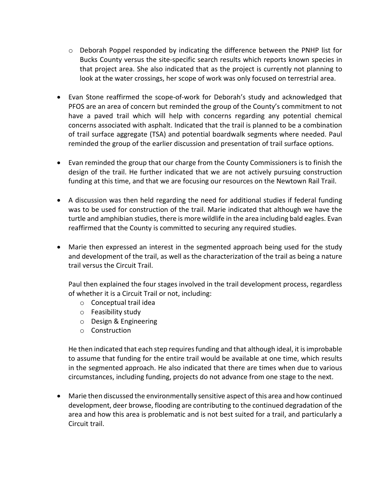- $\circ$  Deborah Poppel responded by indicating the difference between the PNHP list for Bucks County versus the site-specific search results which reports known species in that project area. She also indicated that as the project is currently not planning to look at the water crossings, her scope of work was only focused on terrestrial area.
- Evan Stone reaffirmed the scope-of-work for Deborah's study and acknowledged that PFOS are an area of concern but reminded the group of the County's commitment to not have a paved trail which will help with concerns regarding any potential chemical concerns associated with asphalt. Indicated that the trail is planned to be a combination of trail surface aggregate (TSA) and potential boardwalk segments where needed. Paul reminded the group of the earlier discussion and presentation of trail surface options.
- Evan reminded the group that our charge from the County Commissioners is to finish the design of the trail. He further indicated that we are not actively pursuing construction funding at this time, and that we are focusing our resources on the Newtown Rail Trail.
- A discussion was then held regarding the need for additional studies if federal funding was to be used for construction of the trail. Marie indicated that although we have the turtle and amphibian studies, there is more wildlife in the area including bald eagles. Evan reaffirmed that the County is committed to securing any required studies.
- Marie then expressed an interest in the segmented approach being used for the study and development of the trail, as well as the characterization of the trail as being a nature trail versus the Circuit Trail.

Paul then explained the four stages involved in the trail development process, regardless of whether it is a Circuit Trail or not, including:

- o Conceptual trail idea
- o Feasibility study
- o Design & Engineering
- o Construction

He then indicated that each step requires funding and that although ideal, it is improbable to assume that funding for the entire trail would be available at one time, which results in the segmented approach. He also indicated that there are times when due to various circumstances, including funding, projects do not advance from one stage to the next.

• Marie then discussed the environmentally sensitive aspect of this area and how continued development, deer browse, flooding are contributing to the continued degradation of the area and how this area is problematic and is not best suited for a trail, and particularly a Circuit trail.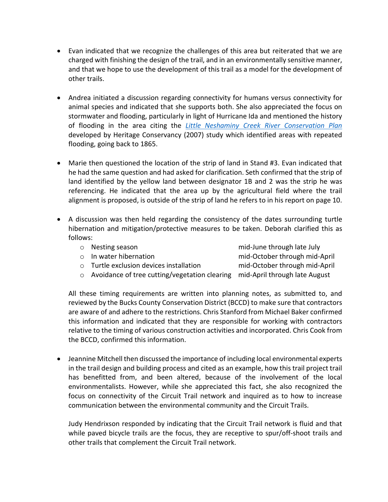- Evan indicated that we recognize the challenges of this area but reiterated that we are charged with finishing the design of the trail, and in an environmentally sensitive manner, and that we hope to use the development of this trail as a model for the development of other trails.
- Andrea initiated a discussion regarding connectivity for humans versus connectivity for animal species and indicated that she supports both. She also appreciated the focus on stormwater and flooding, particularly in light of Hurricane Ida and mentioned the history of flooding in the area citing the *[Little Neshaminy Creek River Conservation Plan](https://www.heritageconservancy.org/wp-content/uploads/2012/03/085_l-nesh-plan.pdf)* developed by Heritage Conservancy (2007) study which identified areas with repeated flooding, going back to 1865.
- Marie then questioned the location of the strip of land in Stand #3. Evan indicated that he had the same question and had asked for clarification. Seth confirmed that the strip of land identified by the yellow land between designator 1B and 2 was the strip he was referencing. He indicated that the area up by the agricultural field where the trail alignment is proposed, is outside of the strip of land he refers to in his report on page 10.
- A discussion was then held regarding the consistency of the dates surrounding turtle hibernation and mitigation/protective measures to be taken. Deborah clarified this as follows:
	- o Nesting season mid-June through late July
		-

o In water hibernation mid-October through mid-April

- o Turtle exclusion devices installation mid-October through mid-April
- $\circ$  Avoidance of tree cutting/vegetation clearing mid-April through late August

All these timing requirements are written into planning notes, as submitted to, and reviewed by the Bucks County Conservation District (BCCD) to make sure that contractors are aware of and adhere to the restrictions. Chris Stanford from Michael Baker confirmed this information and indicated that they are responsible for working with contractors relative to the timing of various construction activities and incorporated. Chris Cook from the BCCD, confirmed this information.

• Jeannine Mitchell then discussed the importance of including local environmental experts in the trail design and building process and cited as an example, how this trail project trail has benefitted from, and been altered, because of the involvement of the local environmentalists. However, while she appreciated this fact, she also recognized the focus on connectivity of the Circuit Trail network and inquired as to how to increase communication between the environmental community and the Circuit Trails.

Judy Hendrixson responded by indicating that the Circuit Trail network is fluid and that while paved bicycle trails are the focus, they are receptive to spur/off-shoot trails and other trails that complement the Circuit Trail network.